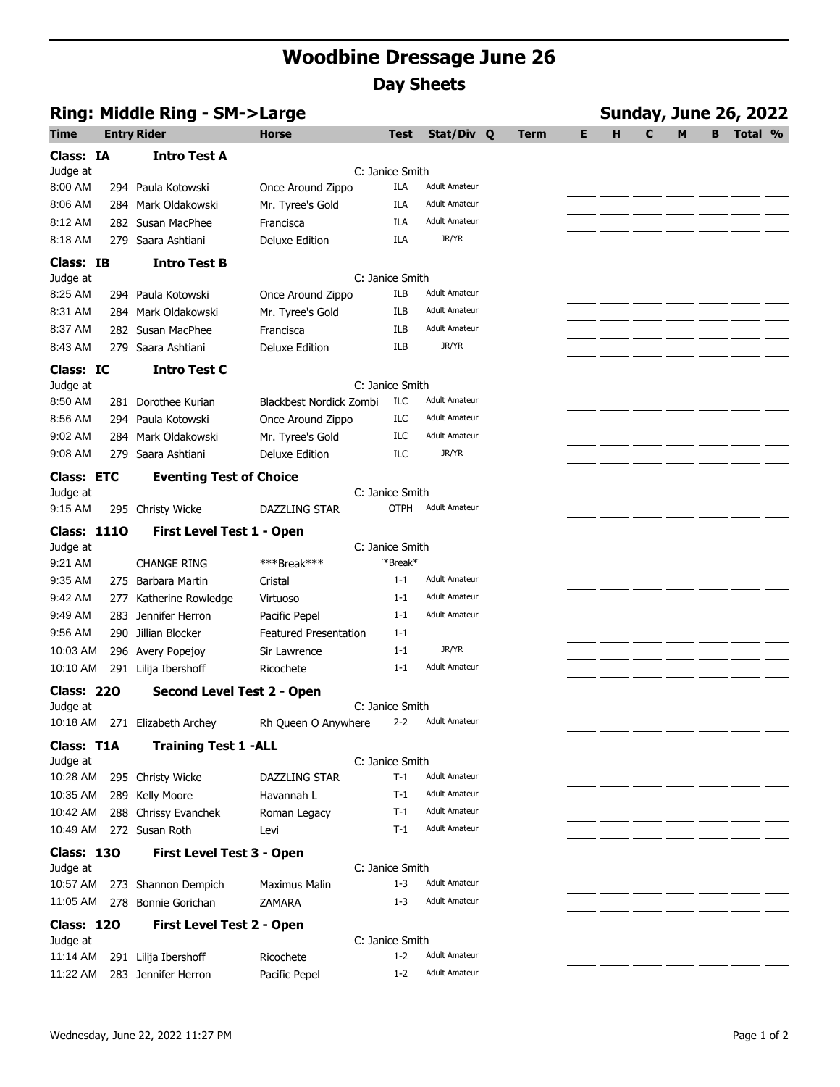## **Woodbine Dressage June 26 Day Sheets**

| Ring: Middle Ring - SM->Large |       |                                      |                              |                          |                      |  |             |   | <b>Sunday, June 26, 2022</b> |              |   |   |         |  |  |
|-------------------------------|-------|--------------------------------------|------------------------------|--------------------------|----------------------|--|-------------|---|------------------------------|--------------|---|---|---------|--|--|
| <b>Time</b>                   |       | <b>Entry Rider</b>                   | <b>Horse</b>                 | <b>Test</b>              | Stat/Div Q           |  | <b>Term</b> | Е | H                            | $\mathbf{C}$ | M | в | Total % |  |  |
| Class: IA                     |       | <b>Intro Test A</b>                  |                              |                          |                      |  |             |   |                              |              |   |   |         |  |  |
| Judge at                      |       |                                      |                              | C: Janice Smith          |                      |  |             |   |                              |              |   |   |         |  |  |
| 8:00 AM                       |       | 294 Paula Kotowski                   | Once Around Zippo            | ILA                      | <b>Adult Amateur</b> |  |             |   |                              |              |   |   |         |  |  |
| 8:06 AM                       |       | 284 Mark Oldakowski                  | Mr. Tyree's Gold             | ILA                      | <b>Adult Amateur</b> |  |             |   |                              |              |   |   |         |  |  |
| 8:12 AM                       |       | 282 Susan MacPhee                    | Francisca                    | ILA                      | <b>Adult Amateur</b> |  |             |   |                              |              |   |   |         |  |  |
| 8:18 AM                       |       | 279 Saara Ashtiani                   | <b>Deluxe Edition</b>        | ILA                      | JR/YR                |  |             |   |                              |              |   |   |         |  |  |
| Class: IB                     |       | <b>Intro Test B</b>                  |                              |                          |                      |  |             |   |                              |              |   |   |         |  |  |
| Judge at                      |       |                                      |                              | C: Janice Smith          |                      |  |             |   |                              |              |   |   |         |  |  |
| 8:25 AM                       |       | 294 Paula Kotowski                   | Once Around Zippo            | ILB                      | <b>Adult Amateur</b> |  |             |   |                              |              |   |   |         |  |  |
| 8:31 AM                       |       | 284 Mark Oldakowski                  | Mr. Tyree's Gold             | ILB                      | <b>Adult Amateur</b> |  |             |   |                              |              |   |   |         |  |  |
| 8:37 AM                       |       | 282 Susan MacPhee                    | Francisca                    | ILB                      | <b>Adult Amateur</b> |  |             |   |                              |              |   |   |         |  |  |
| 8:43 AM                       |       | 279 Saara Ashtiani                   | <b>Deluxe Edition</b>        | <b>ILB</b>               | JR/YR                |  |             |   |                              |              |   |   |         |  |  |
| Class: IC                     |       | <b>Intro Test C</b>                  |                              |                          |                      |  |             |   |                              |              |   |   |         |  |  |
| Judge at                      |       |                                      |                              | C: Janice Smith          |                      |  |             |   |                              |              |   |   |         |  |  |
| 8:50 AM                       |       | 281 Dorothee Kurian                  | Blackbest Nordick Zombi      | ILC                      | <b>Adult Amateur</b> |  |             |   |                              |              |   |   |         |  |  |
| 8:56 AM                       |       | 294 Paula Kotowski                   | Once Around Zippo            | ILC                      | <b>Adult Amateur</b> |  |             |   |                              |              |   |   |         |  |  |
| 9:02 AM                       |       | 284 Mark Oldakowski                  | Mr. Tyree's Gold             | ILC                      | <b>Adult Amateur</b> |  |             |   |                              |              |   |   |         |  |  |
| 9:08 AM                       | 279   | Saara Ashtiani                       | <b>Deluxe Edition</b>        | ILC                      | JR/YR                |  |             |   |                              |              |   |   |         |  |  |
| <b>Class: ETC</b>             |       | <b>Eventing Test of Choice</b>       |                              |                          |                      |  |             |   |                              |              |   |   |         |  |  |
| Judge at                      |       |                                      |                              | C: Janice Smith          |                      |  |             |   |                              |              |   |   |         |  |  |
| 9:15 AM                       |       | 295 Christy Wicke                    | DAZZLING STAR                | <b>OTPH</b>              | <b>Adult Amateur</b> |  |             |   |                              |              |   |   |         |  |  |
| <b>Class: 1110</b>            |       | First Level Test 1 - Open            |                              |                          |                      |  |             |   |                              |              |   |   |         |  |  |
| Judge at                      |       |                                      |                              | C: Janice Smith          |                      |  |             |   |                              |              |   |   |         |  |  |
| 9:21 AM                       |       | <b>CHANGE RING</b>                   | ***Break***                  | *Break*                  |                      |  |             |   |                              |              |   |   |         |  |  |
| 9:35 AM                       | 275   | Barbara Martin                       | Cristal                      | $1 - 1$                  | <b>Adult Amateur</b> |  |             |   |                              |              |   |   |         |  |  |
| 9:42 AM                       | 277   | Katherine Rowledge                   | Virtuoso                     | $1 - 1$                  | <b>Adult Amateur</b> |  |             |   |                              |              |   |   |         |  |  |
| 9:49 AM                       | 283   | Jennifer Herron                      | Pacific Pepel                | $1 - 1$                  | <b>Adult Amateur</b> |  |             |   |                              |              |   |   |         |  |  |
| 9:56 AM                       | 290 - | Jillian Blocker                      | <b>Featured Presentation</b> | $1 - 1$                  |                      |  |             |   |                              |              |   |   |         |  |  |
| 10:03 AM                      |       | 296 Avery Popejoy                    | Sir Lawrence                 | $1 - 1$                  | JR/YR                |  |             |   |                              |              |   |   |         |  |  |
| 10:10 AM                      |       | 291 Lilija Ibershoff                 | Ricochete                    | $1 - 1$                  | <b>Adult Amateur</b> |  |             |   |                              |              |   |   |         |  |  |
| <b>Class: 220</b>             |       | <b>Second Level Test 2 - Open</b>    |                              |                          |                      |  |             |   |                              |              |   |   |         |  |  |
| Judge at                      |       |                                      |                              | C: Janice Smith          | Adult Amateur        |  |             |   |                              |              |   |   |         |  |  |
|                               |       | 10:18 AM 271 Elizabeth Archey        | Rh Queen O Anywhere          | $2 - 2$                  |                      |  |             |   |                              |              |   |   |         |  |  |
| Class: T1A                    |       | <b>Training Test 1 -ALL</b>          |                              |                          |                      |  |             |   |                              |              |   |   |         |  |  |
| Judge at<br>10:28 AM          |       |                                      | DAZZLING STAR                | C: Janice Smith<br>$T-1$ | <b>Adult Amateur</b> |  |             |   |                              |              |   |   |         |  |  |
| 10:35 AM                      |       | 295 Christy Wicke<br>289 Kelly Moore | Havannah L                   | T-1                      | <b>Adult Amateur</b> |  |             |   |                              |              |   |   |         |  |  |
| 10:42 AM                      |       | 288 Chrissy Evanchek                 | Roman Legacy                 | T-1                      | <b>Adult Amateur</b> |  |             |   |                              |              |   |   |         |  |  |
| 10:49 AM                      |       | 272 Susan Roth                       | Levi                         | T-1                      | <b>Adult Amateur</b> |  |             |   |                              |              |   |   |         |  |  |
|                               |       |                                      |                              |                          |                      |  |             |   |                              |              |   |   |         |  |  |
| <b>Class: 130</b><br>Judge at |       | First Level Test 3 - Open            |                              | C: Janice Smith          |                      |  |             |   |                              |              |   |   |         |  |  |
| 10:57 AM                      |       | 273 Shannon Dempich                  | <b>Maximus Malin</b>         | $1 - 3$                  | <b>Adult Amateur</b> |  |             |   |                              |              |   |   |         |  |  |
| 11:05 AM                      |       | 278 Bonnie Gorichan                  | ZAMARA                       | $1 - 3$                  | <b>Adult Amateur</b> |  |             |   |                              |              |   |   |         |  |  |
|                               |       |                                      |                              |                          |                      |  |             |   |                              |              |   |   |         |  |  |
| <b>Class: 120</b><br>Judge at |       | First Level Test 2 - Open            |                              | C: Janice Smith          |                      |  |             |   |                              |              |   |   |         |  |  |
| 11:14 AM                      |       | 291 Lilija Ibershoff                 | Ricochete                    | $1 - 2$                  | <b>Adult Amateur</b> |  |             |   |                              |              |   |   |         |  |  |
| 11:22 AM                      |       | 283 Jennifer Herron                  | Pacific Pepel                | $1 - 2$                  | <b>Adult Amateur</b> |  |             |   |                              |              |   |   |         |  |  |
|                               |       |                                      |                              |                          |                      |  |             |   |                              |              |   |   |         |  |  |